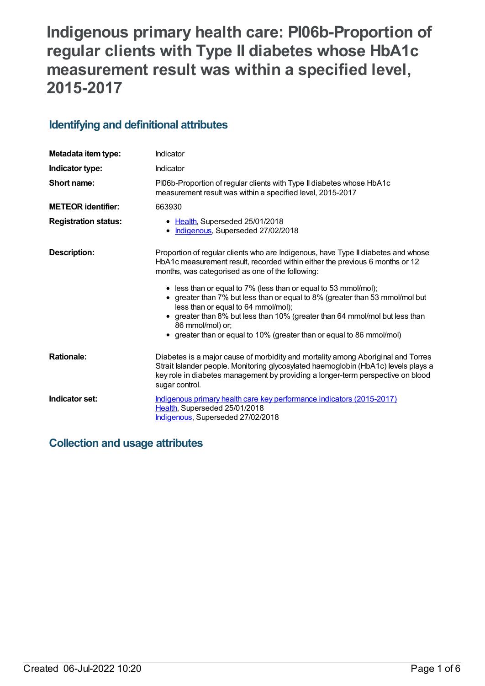# **Indigenous primary health care: PI06b-Proportion of regular clients with Type II diabetes whose HbA1c measurement result was within a specified level, 2015-2017**

# **Identifying and definitional attributes**

| Metadata item type:         | Indicator                                                                                                                                                                                                                                                                                                                                                                                                                                                                                                                                                                                   |
|-----------------------------|---------------------------------------------------------------------------------------------------------------------------------------------------------------------------------------------------------------------------------------------------------------------------------------------------------------------------------------------------------------------------------------------------------------------------------------------------------------------------------------------------------------------------------------------------------------------------------------------|
| Indicator type:             | Indicator                                                                                                                                                                                                                                                                                                                                                                                                                                                                                                                                                                                   |
| Short name:                 | PI06b-Proportion of regular clients with Type II diabetes whose HbA1c<br>measurement result was within a specified level, 2015-2017                                                                                                                                                                                                                                                                                                                                                                                                                                                         |
| <b>METEOR</b> identifier:   | 663930                                                                                                                                                                                                                                                                                                                                                                                                                                                                                                                                                                                      |
| <b>Registration status:</b> | • Health, Superseded 25/01/2018<br>• Indigenous, Superseded 27/02/2018                                                                                                                                                                                                                                                                                                                                                                                                                                                                                                                      |
| <b>Description:</b>         | Proportion of regular clients who are Indigenous, have Type II diabetes and whose<br>HbA1c measurement result, recorded within either the previous 6 months or 12<br>months, was categorised as one of the following:<br>• less than or equal to 7% (less than or equal to 53 mmol/mol);<br>• greater than 7% but less than or equal to 8% (greater than 53 mmol/mol but<br>less than or equal to 64 mmol/mol);<br>• greater than 8% but less than 10% (greater than 64 mmol/mol but less than<br>86 mmol/mol) or;<br>• greater than or equal to 10% (greater than or equal to 86 mmol/mol) |
| <b>Rationale:</b>           | Diabetes is a major cause of morbidity and mortality among Aboriginal and Torres<br>Strait Islander people. Monitoring glycosylated haemoglobin (HbA1c) levels plays a<br>key role in diabetes management by providing a longer-term perspective on blood<br>sugar control.                                                                                                                                                                                                                                                                                                                 |
| Indicator set:              | Indigenous primary health care key performance indicators (2015-2017)<br>Health, Superseded 25/01/2018<br>Indigenous, Superseded 27/02/2018                                                                                                                                                                                                                                                                                                                                                                                                                                                 |

# **Collection and usage attributes**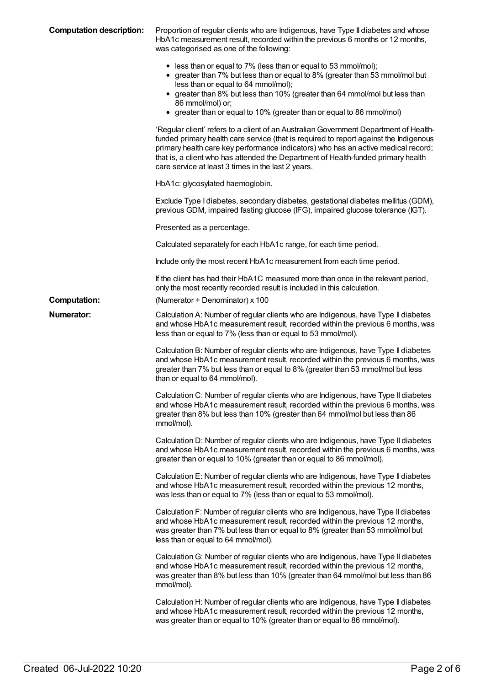| <b>Computation description:</b> | Proportion of regular clients who are Indigenous, have Type II diabetes and whose<br>HbA1c measurement result, recorded within the previous 6 months or 12 months,<br>was categorised as one of the following:<br>• less than or equal to 7% (less than or equal to 53 mmol/mol);                                                                                                                              |
|---------------------------------|----------------------------------------------------------------------------------------------------------------------------------------------------------------------------------------------------------------------------------------------------------------------------------------------------------------------------------------------------------------------------------------------------------------|
|                                 | • greater than 7% but less than or equal to 8% (greater than 53 mmol/mol but<br>less than or equal to 64 mmol/mol);<br>• greater than 8% but less than 10% (greater than 64 mmol/mol but less than<br>86 mmol/mol) or;<br>• greater than or equal to 10% (greater than or equal to 86 mmol/mol)                                                                                                                |
|                                 | 'Regular client' refers to a client of an Australian Government Department of Health-<br>funded primary health care service (that is required to report against the Indigenous<br>primary health care key performance indicators) who has an active medical record;<br>that is, a client who has attended the Department of Health-funded primary health<br>care service at least 3 times in the last 2 years. |
|                                 | HbA1c: glycosylated haemoglobin.                                                                                                                                                                                                                                                                                                                                                                               |
|                                 | Exclude Type I diabetes, secondary diabetes, gestational diabetes mellitus (GDM),<br>previous GDM, impaired fasting glucose (IFG), impaired glucose tolerance (IGT).                                                                                                                                                                                                                                           |
|                                 | Presented as a percentage.                                                                                                                                                                                                                                                                                                                                                                                     |
|                                 | Calculated separately for each HbA1c range, for each time period.                                                                                                                                                                                                                                                                                                                                              |
|                                 | Include only the most recent HbA1c measurement from each time period.                                                                                                                                                                                                                                                                                                                                          |
|                                 | If the client has had their HbA1C measured more than once in the relevant period,<br>only the most recently recorded result is included in this calculation.                                                                                                                                                                                                                                                   |
| <b>Computation:</b>             | (Numerator ÷ Denominator) x 100                                                                                                                                                                                                                                                                                                                                                                                |
| <b>Numerator:</b>               | Calculation A: Number of regular clients who are Indigenous, have Type II diabetes<br>and whose HbA1c measurement result, recorded within the previous 6 months, was<br>less than or equal to 7% (less than or equal to 53 mmol/mol).                                                                                                                                                                          |
|                                 | Calculation B: Number of regular clients who are Indigenous, have Type II diabetes<br>and whose HbA1c measurement result, recorded within the previous 6 months, was<br>greater than 7% but less than or equal to 8% (greater than 53 mmol/mol but less<br>than or equal to 64 mmol/mol).                                                                                                                      |
|                                 | Calculation C: Number of regular clients who are Indigenous, have Type II diabetes<br>and whose HbA1c measurement result, recorded within the previous 6 months, was<br>greater than 8% but less than 10% (greater than 64 mmol/mol but less than 86<br>mmol/mol).                                                                                                                                             |
|                                 | Calculation D: Number of regular clients who are Indigenous, have Type II diabetes<br>and whose HbA1c measurement result, recorded within the previous 6 months, was<br>greater than or equal to 10% (greater than or equal to 86 mmol/mol).                                                                                                                                                                   |
|                                 | Calculation E: Number of regular clients who are Indigenous, have Type II diabetes<br>and whose HbA1c measurement result, recorded within the previous 12 months,<br>was less than or equal to 7% (less than or equal to 53 mmol/mol).                                                                                                                                                                         |
|                                 | Calculation F: Number of regular clients who are Indigenous, have Type II diabetes<br>and whose HbA1c measurement result, recorded within the previous 12 months,<br>was greater than 7% but less than or equal to 8% (greater than 53 mmol/mol but<br>less than or equal to 64 mmol/mol).                                                                                                                     |
|                                 | Calculation G: Number of regular clients who are Indigenous, have Type II diabetes<br>and whose HbA1c measurement result, recorded within the previous 12 months,<br>was greater than 8% but less than 10% (greater than 64 mmol/mol but less than 86<br>mmol/mol).                                                                                                                                            |
|                                 | Calculation H: Number of regular clients who are Indigenous, have Type II diabetes<br>and whose HbA1c measurement result, recorded within the previous 12 months,<br>was greater than or equal to 10% (greater than or equal to 86 mmol/mol).                                                                                                                                                                  |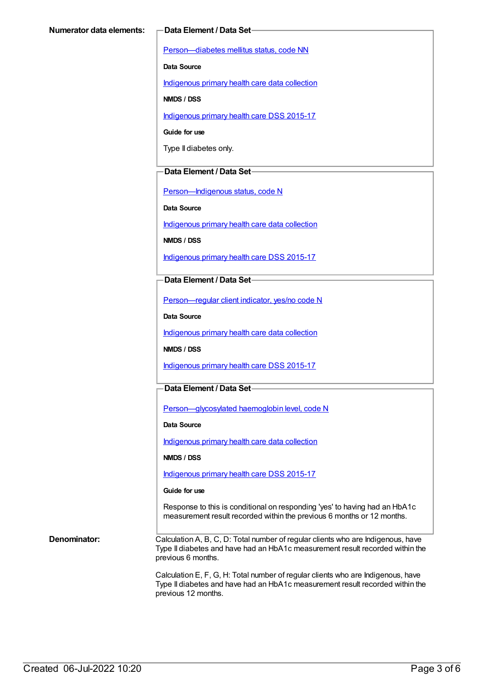[Person—diabetes](https://meteor.aihw.gov.au/content/270194) mellitus status, code NN

**Data Source**

[Indigenous](https://meteor.aihw.gov.au/content/430643) primary health care data collection

**NMDS / DSS**

[Indigenous](https://meteor.aihw.gov.au/content/585036) primary health care DSS 2015-17

**Guide for use**

Type II diabetes only.

### **Data Element / Data Set**

[Person—Indigenous](https://meteor.aihw.gov.au/content/291036) status, code N

**Data Source**

[Indigenous](https://meteor.aihw.gov.au/content/430643) primary health care data collection

**NMDS / DSS**

[Indigenous](https://meteor.aihw.gov.au/content/585036) primary health care DSS 2015-17

### **Data Element / Data Set**

[Person—regular](https://meteor.aihw.gov.au/content/436639) client indicator, yes/no code N

**Data Source**

[Indigenous](https://meteor.aihw.gov.au/content/430643) primary health care data collection

**NMDS / DSS**

[Indigenous](https://meteor.aihw.gov.au/content/585036) primary health care DSS 2015-17

## **Data Element / Data Set**

[Person—glycosylated](https://meteor.aihw.gov.au/content/589601) haemoglobin level, code N

**Data Source**

[Indigenous](https://meteor.aihw.gov.au/content/430643) primary health care data collection

**NMDS / DSS**

[Indigenous](https://meteor.aihw.gov.au/content/585036) primary health care DSS 2015-17

#### **Guide for use**

Response to this is conditional on responding 'yes' to having had an HbA1c measurement result recorded within the previous 6 months or 12 months.

**Denominator:** Calculation A, B, C, D: Total number of regular clients who are Indigenous, have Type II diabetes and have had an HbA1c measurement result recorded within the previous 6 months.

> Calculation E, F, G, H: Total number of regular clients who are Indigenous, have Type II diabetes and have had an HbA1c measurement result recorded within the previous 12 months.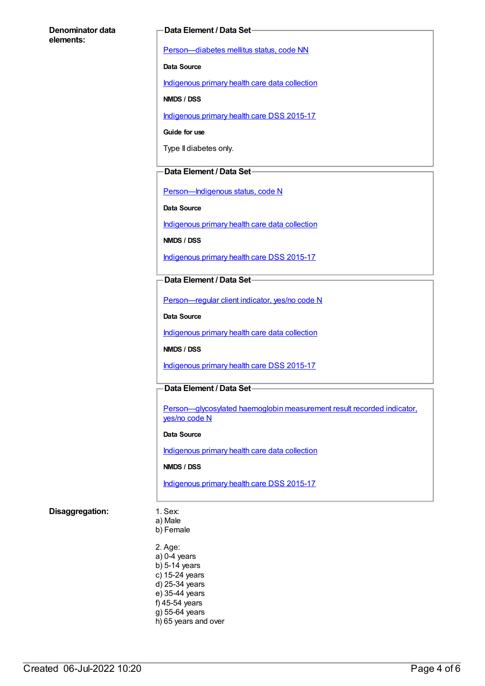#### **Denominator data elements:**

#### **Data Element / Data Set**

[Person—diabetes](https://meteor.aihw.gov.au/content/270194) mellitus status, code NN

**Data Source**

[Indigenous](https://meteor.aihw.gov.au/content/430643) primary health care data collection

**NMDS / DSS**

[Indigenous](https://meteor.aihw.gov.au/content/585036) primary health care DSS 2015-17

**Guide for use**

Type II diabetes only.

### **Data Element / Data Set**

[Person—Indigenous](https://meteor.aihw.gov.au/content/291036) status, code N

**Data Source**

[Indigenous](https://meteor.aihw.gov.au/content/430643) primary health care data collection

**NMDS / DSS**

[Indigenous](https://meteor.aihw.gov.au/content/585036) primary health care DSS 2015-17

### **Data Element / Data Set**

[Person—regular](https://meteor.aihw.gov.au/content/436639) client indicator, yes/no code N

**Data Source**

[Indigenous](https://meteor.aihw.gov.au/content/430643) primary health care data collection

**NMDS / DSS**

[Indigenous](https://meteor.aihw.gov.au/content/585036) primary health care DSS 2015-17

### **Data Element / Data Set**

[Person—glycosylated](https://meteor.aihw.gov.au/content/441495) haemoglobin measurement result recorded indicator, yes/no code N

#### **Data Source**

[Indigenous](https://meteor.aihw.gov.au/content/430643) primary health care data collection

#### **NMDS / DSS**

[Indigenous](https://meteor.aihw.gov.au/content/585036) primary health care DSS 2015-17

#### **Disaggregation:** 1. Sex:

- a) Male b) Female
- 2. Age: a) 0-4 years  $b)$  5-14 years c) 15-24 years d) 25-34 years e) 35-44 years f) 45-54 years g) 55-64 years h) 65 years and over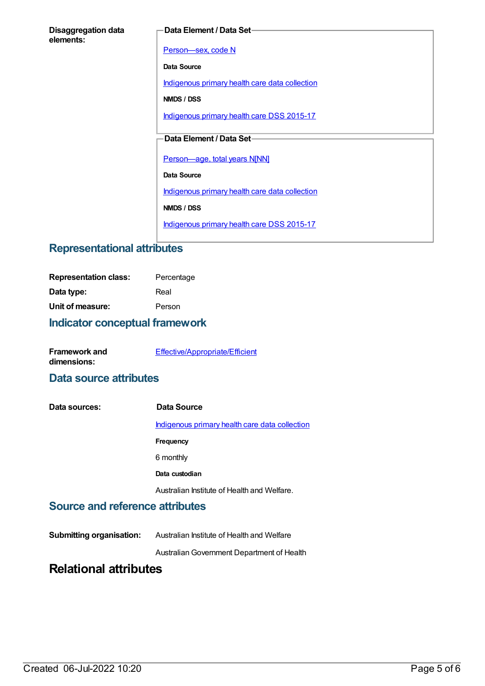| <b>Disaggregation data</b> |  |
|----------------------------|--|
| elements:                  |  |

#### **Data Element / Data Set**

[Person—sex,](https://meteor.aihw.gov.au/content/287316) code N

**Data Source**

[Indigenous](https://meteor.aihw.gov.au/content/430643) primary health care data collection

**NMDS / DSS**

[Indigenous](https://meteor.aihw.gov.au/content/585036) primary health care DSS 2015-17

## **Data Element / Data Set**

[Person—age,](https://meteor.aihw.gov.au/content/303794) total years N[NN]

**Data Source**

[Indigenous](https://meteor.aihw.gov.au/content/430643) primary health care data collection

**NMDS / DSS**

[Indigenous](https://meteor.aihw.gov.au/content/585036) primary health care DSS 2015-17

# **Representational attributes**

| <b>Representation class:</b> | Percentage |
|------------------------------|------------|
| Data type:                   | Real       |
| Unit of measure:             | Person     |

# **Indicator conceptual framework**

| <b>Framework and</b> | Effective/Appropriate/Efficient |
|----------------------|---------------------------------|
| dimensions:          |                                 |

# **Data source attributes**

| Data sources: | Data Source                                    |
|---------------|------------------------------------------------|
|               | Indigenous primary health care data collection |
|               | Frequency                                      |
|               | 6 monthly                                      |
|               | Data custodian                                 |
|               | Australian Institute of Health and Welfare.    |

# **Source and reference attributes**

**Submitting organisation:** Australian Institute of Health and Welfare

AustralianGovernment Department of Health

# **Relational attributes**